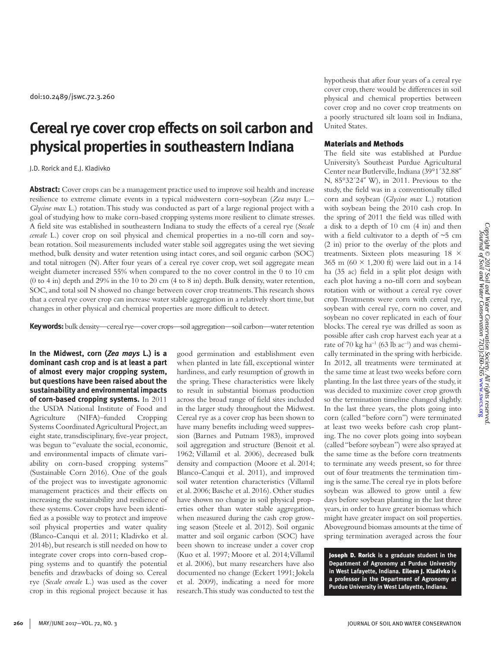# **Cereal rye cover crop effects on soil carbon and physical properties in southeastern Indiana**

#### J.D. Rorick and E.J. Kladivko

**Abstract:** Cover crops can be a management practice used to improve soil health and increase resilience to extreme climate events in a typical midwestern corn–soybean (*Zea mays* L.– *Glycine max* L.) rotation. This study was conducted as part of a large regional project with a goal of studying how to make corn-based cropping systems more resilient to climate stresses. A field site was established in southeastern Indiana to study the effects of a cereal rye (*Secale cereale* L.) cover crop on soil physical and chemical properties in a no-till corn and soybean rotation. Soil measurements included water stable soil aggregates using the wet sieving method, bulk density and water retention using intact cores, and soil organic carbon (SOC) and total nitrogen (N). After four years of a cereal rye cover crop, wet soil aggregate mean weight diameter increased 55% when compared to the no cover control in the 0 to 10 cm (0 to 4 in) depth and 29% in the 10 to 20 cm (4 to 8 in) depth. Bulk density, water retention, SOC, and total soil N showed no change between cover crop treatments. This research shows that a cereal rye cover crop can increase water stable aggregation in a relatively short time, but changes in other physical and chemical properties are more difficult to detect.

**Key words:** bulk density—cereal rye—cover crops—soil aggregation—soil carbon—water retention

**In the Midwest, corn (***Zea mays* **L.) is a dominant cash crop and is at least a part of almost every major cropping system, but questions have been raised about the sustainability and environmental impacts of corn-based cropping systems.** In 2011 the USDA National Institute of Food and Agriculture (NIFA)–funded Cropping Systems Coordinated Agricultural Project, an eight state, transdisciplinary, five-year project, was begun to "evaluate the social, economic, and environmental impacts of climate variability on corn-based cropping systems" (Sustainable Corn 2016). One of the goals of the project was to investigate agronomic management practices and their effects on increasing the sustainability and resilience of these systems. Cover crops have been identified as a possible way to protect and improve soil physical properties and water quality (Blanco-Canqui et al. 2011; Kladivko et al. 2014b), but research is still needed on how to integrate cover crops into corn-based cropping systems and to quantify the potential benefits and drawbacks of doing so. Cereal rye (*Secale cereale* L.) was used as the cover crop in this regional project because it has

good germination and establishment even when planted in late fall, exceptional winter hardiness, and early resumption of growth in the spring. These characteristics were likely to result in substantial biomass production across the broad range of field sites included in the larger study throughout the Midwest. Cereal rye as a cover crop has been shown to have many benefits including weed suppression (Barnes and Putnam 1983), improved soil aggregation and structure (Benoit et al. 1962; Villamil et al. 2006), decreased bulk density and compaction (Moore et al. 2014; Blanco-Canqui et al. 2011), and improved soil water retention characteristics (Villamil et al. 2006; Basche et al. 2016). Other studies have shown no change in soil physical properties other than water stable aggregation, when measured during the cash crop growing season (Steele et al. 2012). Soil organic matter and soil organic carbon (SOC) have been shown to increase under a cover crop (Kuo et al. 1997; Moore et al. 2014; Villamil et al. 2006), but many researchers have also documented no change (Eckert 1991; Jokela et al. 2009), indicating a need for more research. This study was conducted to test the

hypothesis that after four years of a cereal rye cover crop, there would be differences in soil physical and chemical properties between cover crop and no cover crop treatments on a poorly structured silt loam soil in Indiana, United States.

# Materials and Methods

The field site was established at Purdue University's Southeast Purdue Agricultural Center near Butlerville, Indiana (39°1´32.88˝ N, 85°32´24˝ W), in 2011. Previous to the study, the field was in a conventionally tilled corn and soybean (*Glycine max* L.) rotation with soybean being the 2010 cash crop. In the spring of 2011 the field was tilled with a disk to a depth of 10 cm (4 in) and then with a field cultivator to a depth of  $\sim$ 5 cm (2 in) prior to the overlay of the plots and treatments. Sixteen plots measuring 18 × 365 m (60  $\times$  1,200 ft) were laid out in a 14 ha (35 ac) field in a split plot design with each plot having a no-till corn and soybean rotation with or without a cereal rye cover crop. Treatments were corn with cereal rye, soybean with cereal rye, corn no cover, and soybean no cover replicated in each of four blocks. The cereal rye was drilled as soon as possible after cash crop harvest each year at a rate of 70 kg ha<sup>-1</sup> (63 lb ac<sup>-1</sup>) and was chemically terminated in the spring with herbicide. In 2012, all treatments were terminated at the same time at least two weeks before corn planting. In the last three years of the study, it was decided to maximize cover crop growth so the termination timeline changed slightly. In the last three years, the plots going into corn (called "before corn") were terminated at least two weeks before cash crop planting. The no cover plots going into soybean (called "before soybean") were also sprayed at the same time as the before corn treatments to terminate any weeds present, so for three out of four treatments the termination timing is the same. The cereal rye in plots before soybean was allowed to grow until a few days before soybean planting in the last three years, in order to have greater biomass which might have greater impact on soil properties. Aboveground biomass amounts at the time of spring termination averaged across the four

Joseph D. Rorick **is a graduate student in the Department of Agronomy at Purdue University in West Lafayette, Indiana.** Eileen J. Kladivko **is a professor in the Department of Agronomy at Purdue University in West Lafayette, Indiana.**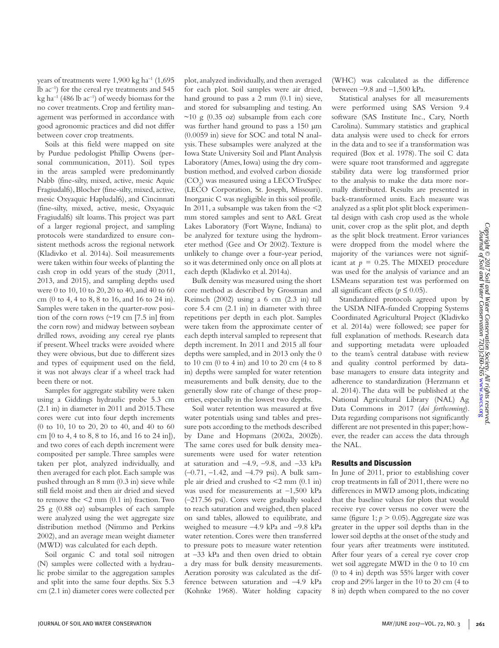years of treatments were  $1,900 \text{ kg ha}^{-1}$  (1,695) lb ac–1) for the cereal rye treatments and 545 kg ha<sup>-1</sup> (486 lb ac<sup>-1</sup>) of weedy biomass for the no cover treatments. Crop and fertility management was performed in accordance with good agronomic practices and did not differ between cover crop treatments.

Soils at this field were mapped on site by Purdue pedologist Phillip Owens (personal communication, 2011). Soil types in the areas sampled were predominantly Nabb (fine-silty, mixed, active, mesic Aquic Fragiudalfs), Blocher (fine-silty, mixed, active, mesic Oxyaquic Hapludalfs), and Cincinnati (fine-silty, mixed, active, mesic, Oxyaquic Fragiudalfs) silt loams. This project was part of a larger regional project, and sampling protocols were standardized to ensure consistent methods across the regional network (Kladivko et al. 2014a). Soil measurements were taken within four weeks of planting the cash crop in odd years of the study (2011, 2013, and 2015), and sampling depths used were 0 to 10, 10 to 20, 20 to 40, and 40 to 60 cm (0 to 4, 4 to 8, 8 to 16, and 16 to 24 in). Samples were taken in the quarter-row position of the corn rows (~19 cm [7.5 in] from the corn row) and midway between soybean drilled rows, avoiding any cereal rye plants if present. Wheel tracks were avoided where they were obvious, but due to different sizes and types of equipment used on the field, it was not always clear if a wheel track had been there or not.

Samples for aggregate stability were taken using a Giddings hydraulic probe 5.3 cm (2.1 in) in diameter in 2011 and 2015. These cores were cut into four depth increments (0 to 10, 10 to 20, 20 to 40, and 40 to 60 cm [0 to 4, 4 to 8, 8 to 16, and 16 to 24 in]), and two cores of each depth increment were composited per sample. Three samples were taken per plot, analyzed individually, and then averaged for each plot. Each sample was pushed through an 8 mm (0.3 in) sieve while still field moist and then air dried and sieved to remove the  $\leq 2$  mm  $(0.1 \text{ in})$  fraction. Two 25 g (0.88 oz) subsamples of each sample were analyzed using the wet aggregate size distribution method (Nimmo and Perkins 2002), and an average mean weight diameter (MWD) was calculated for each depth.

Soil organic C and total soil nitrogen (N) samples were collected with a hydraulic probe similar to the aggregation samples and split into the same four depths. Six 5.3 cm (2.1 in) diameter cores were collected per plot, analyzed individually, and then averaged for each plot. Soil samples were air dried, hand ground to pass a 2 mm (0.1 in) sieve, and stored for subsampling and testing. An  $\sim$ 10 g (0.35 oz) subsample from each core was further hand ground to pass a 150 µm (0.0059 in) sieve for SOC and total N analysis. These subsamples were analyzed at the Iowa State University Soil and Plant Analysis Laboratory (Ames, Iowa) using the dry combustion method, and evolved carbon dioxide (CO<sub>2</sub>) was measured using a LECO TruSpec (LECO Corporation, St. Joseph, Missouri). Inorganic C was negligible in this soil profile. In 2011, a subsample was taken from the <2 mm stored samples and sent to A&L Great Lakes Laboratory (Fort Wayne, Indiana) to be analyzed for texture using the hydrometer method (Gee and Or 2002). Texture is unlikely to change over a four-year period, so it was determined only once on all plots at each depth (Kladivko et al. 2014a).

Bulk density was measured using the short core method as described by Grossman and Reinsch (2002) using a 6 cm (2.3 in) tall core 5.4 cm (2.1 in) in diameter with three repetitions per depth in each plot. Samples were taken from the approximate center of each depth interval sampled to represent that depth increment. In 2011 and 2015 all four depths were sampled, and in 2013 only the 0 to 10 cm (0 to 4 in) and 10 to 20 cm (4 to 8 in) depths were sampled for water retention measurements and bulk density, due to the generally slow rate of change of these properties, especially in the lowest two depths.

Soil water retention was measured at five water potentials using sand tables and pressure pots according to the methods described by Dane and Hopmans (2002a, 2002b). The same cores used for bulk density measurements were used for water retention at saturation and  $-4.9$ ,  $-9.8$ , and  $-33$  kPa (–0.71, –1.42, and –4.79 psi). A bulk sample air dried and crushed to  $\leq$  2 mm (0.1 in) was used for measurements at –1,500 kPa (–217.56 psi). Cores were gradually soaked to reach saturation and weighed, then placed on sand tables, allowed to equilibrate, and weighed to measure –4.9 kPa and –9.8 kPa water retention. Cores were then transferred to pressure pots to measure water retention at –33 kPa and then oven dried to obtain a dry mass for bulk density measurements. Aeration porosity was calculated as the difference between saturation and –4.9 kPa (Kohnke 1968). Water holding capacity

(WHC) was calculated as the difference between –9.8 and –1,500 kPa.

Statistical analyses for all measurements were performed using SAS Version 9.4 software (SAS Institute Inc., Cary, North Carolina). Summary statistics and graphical data analysis were used to check for errors in the data and to see if a transformation was required (Box et al. 1978). The soil C data were square root transformed and aggregate stability data were log transformed prior to the analysis to make the data more normally distributed. Results are presented in back-transformed units. Each measure was analyzed as a split plot split block experimental design with cash crop used as the whole unit, cover crop as the split plot, and depth as the split block treatment. Error variances were dropped from the model where the majority of the variances were not significant at  $p = 0.25$ . The MIXED procedure was used for the analysis of variance and an LSMeans separation test was performed on all significant effects ( $p \le 0.05$ ).

Standardized protocols agreed upon by the USDA NIFA-funded Cropping Systems Coordinated Agricultural Project (Kladivko et al. 2014a) were followed; see paper for full explanation of methods. Research data and supporting metadata were uploaded to the team's central database with review and quality control performed by database managers to ensure data integrity and adherence to standardization (Herzmann et al. 2014). The data will be published at the National Agricultural Library (NAL) Ag Data Commons in 2017 (*doi forthcoming*). Data regarding comparisons not significantly different are not presented in this paper; however, the reader can access the data through the NAL.

### Results and Discussion

In June of 2011, prior to establishing cover crop treatments in fall of 2011, there were no differences in MWD among plots, indicating that the baseline values for plots that would receive rye cover versus no cover were the same (figure 1;  $p > 0.05$ ). Aggregate size was greater in the upper soil depths than in the lower soil depths at the onset of the study and four years after treatments were instituted. After four years of a cereal rye cover crop wet soil aggregate MWD in the 0 to 10 cm (0 to 4 in) depth was 55% larger with cover crop and 29% larger in the 10 to 20 cm (4 to 8 in) depth when compared to the no cover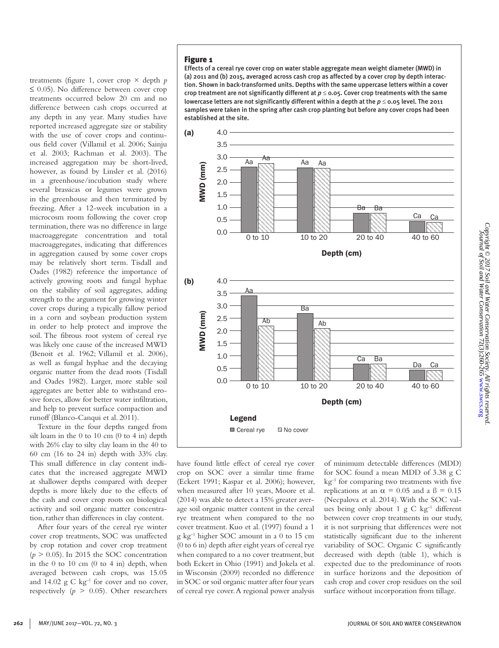treatments (figure 1, cover crop  $\times$  depth *p*  $\leq$  0.05). No difference between cover crop treatments occurred below 20 cm and no difference between cash crops occurred at any depth in any year. Many studies have reported increased aggregate size or stability with the use of cover crops and continuous field cover (Villamil et al. 2006; Sainju et al. 2003; Rachman et al. 2003). The increased aggregation may be short-lived, however, as found by Linsler et al. (2016) in a greenhouse/incubation study where several brassicas or legumes were grown in the greenhouse and then terminated by freezing. After a 12-week incubation in a microcosm room following the cover crop termination, there was no difference in large macroaggregate concentration and total macroaggregates, indicating that differences in aggregation caused by some cover crops may be relatively short term. Tisdall and Oades (1982) reference the importance of actively growing roots and fungal hyphae on the stability of soil aggregates, adding strength to the argument for growing winter cover crops during a typically fallow period in a corn and soybean production system in order to help protect and improve the soil. The fibrous root system of cereal rye was likely one cause of the increased MWD (Benoit et al. 1962; Villamil et al. 2006), as well as fungal hyphae and the decaying organic matter from the dead roots (Tisdall and Oades 1982). Larger, more stable soil aggregates are better able to withstand erosive forces, allow for better water infiltration, and help to prevent surface compaction and runoff (Blanco-Canqui et al. 2011).

Texture in the four depths ranged from silt loam in the 0 to 10 cm (0 to 4 in) depth with 26% clay to silty clay loam in the 40 to 60 cm (16 to 24 in) depth with 33% clay. This small difference in clay content indicates that the increased aggregate MWD at shallower depths compared with deeper depths is more likely due to the effects of the cash and cover crop roots on biological activity and soil organic matter concentration, rather than differences in clay content.

After four years of the cereal rye winter cover crop treatments, SOC was unaffected by crop rotation and cover crop treatment  $(p > 0.05)$ . In 2015 the SOC concentration in the  $0$  to  $10 \text{ cm}$   $(0 \text{ to } 4 \text{ in})$  depth, when averaged between cash crops, was 15.05 and  $14.02 \text{ g C kg}^{-1}$  for cover and no cover, respectively  $(p > 0.05)$ . Other researchers

# Figure 1

Effects of a cereal rye cover crop on water stable aggregate mean weight diameter (MWD) in (a) 2011 and (b) 2015, averaged across cash crop as affected by a cover crop by depth interaction. Shown in back-transformed units. Depths with the same uppercase letters within a cover crop treatment are not significantly different at  $p \le 0.05$ . Cover crop treatments with the same lowercase letters are not significantly different within a depth at the  $p \le 0.05$  level. The 2011 samples were taken in the spring after cash crop planting but before any cover crops had been established at the site.



have found little effect of cereal rye cover crop on SOC over a similar time frame (Eckert 1991; Kaspar et al. 2006); however, when measured after 10 years, Moore et al. (2014) was able to detect a 15% greater average soil organic matter content in the cereal rye treatment when compared to the no cover treatment. Kuo et al. (1997) found a 1 g kg–1 higher SOC amount in a 0 to 15 cm (0 to 6 in) depth after eight years of cereal rye when compared to a no cover treatment, but both Eckert in Ohio (1991) and Jokela et al. in Wisconsin (2009) recorded no difference in SOC or soil organic matter after four years of cereal rye cover. A regional power analysis

of minimum detectable differences (MDD) for SOC found a mean MDD of 3.38 g C kg<sup>-1</sup> for comparing two treatments with five replications at an  $\alpha$  = 0.05 and a B = 0.15 (Necpalova et al. 2014). With the SOC values being only about 1 g C  $kg^{-1}$  different between cover crop treatments in our study, it is not surprising that differences were not statistically significant due to the inherent variability of SOC. Organic C significantly decreased with depth (table 1), which is expected due to the predominance of roots in surface horizons and the deposition of cash crop and cover crop residues on the soil surface without incorporation from tillage.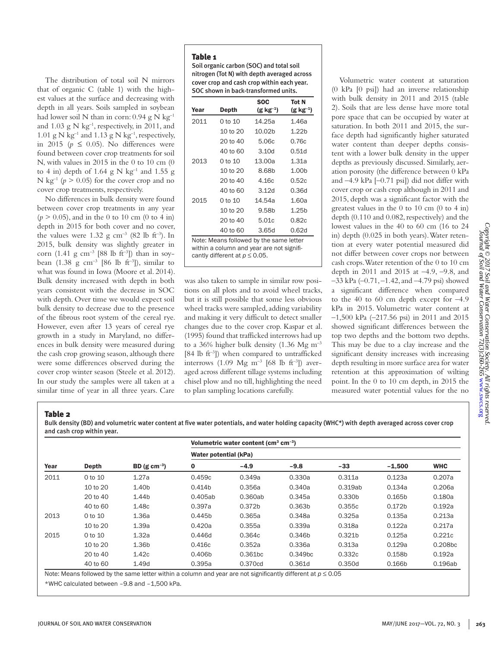The distribution of total soil N mirrors that of organic C (table 1) with the highest values at the surface and decreasing with depth in all years. Soils sampled in soybean had lower soil N than in corn:  $0.94$  g N kg<sup>-1</sup> and 1.03 g N  $kg^{-1}$ , respectively, in 2011, and 1.01 g N kg<sup>-1</sup> and 1.13 g N kg<sup>-1</sup>, respectively, in 2015 ( $p \leq 0.05$ ). No differences were found between cover crop treatments for soil N, with values in 2015 in the 0 to 10 cm (0 to 4 in) depth of 1.64 g N kg<sup>-1</sup> and 1.55 g N kg<sup>-1</sup> ( $p > 0.05$ ) for the cover crop and no cover crop treatments, respectively.

No differences in bulk density were found between cover crop treatments in any year  $(p > 0.05)$ , and in the 0 to 10 cm (0 to 4 in) depth in 2015 for both cover and no cover, the values were  $1.32$  g cm<sup>-3</sup> (82 lb ft<sup>-3</sup>). In 2015, bulk density was slightly greater in corn (1.41 g cm<sup>-3</sup> [88 lb ft<sup>-3</sup>]) than in soybean  $(1.38 \text{ g cm}^{-3} \; [86 \; \text{lb ft}^{-3}])$ , similar to what was found in Iowa (Moore et al. 2014). Bulk density increased with depth in both years consistent with the decrease in SOC with depth. Over time we would expect soil bulk density to decrease due to the presence of the fibrous root system of the cereal rye. However, even after 13 years of cereal rye growth in a study in Maryland, no differences in bulk density were measured during the cash crop growing season, although there were some differences observed during the cover crop winter season (Steele et al. 2012). In our study the samples were all taken at a similar time of year in all three years. Care

Soil organic carbon (SOC) and total soil nitrogen (Tot N) with depth averaged across cover crop and cash crop within each year. SOC shown in back-transformed units.

| Year<br>Depth |                                                                                                                             | <b>SOC</b><br>$(g kg^{-1})$ | <b>Tot N</b><br>(g kg <sup>-1</sup> ) |  |
|---------------|-----------------------------------------------------------------------------------------------------------------------------|-----------------------------|---------------------------------------|--|
| 2011          | $0$ to $10$                                                                                                                 | 14.25a                      | 1.46a                                 |  |
|               | 10 to 20                                                                                                                    | 10.02b                      | 1.22h                                 |  |
|               | 20 to 40                                                                                                                    | 5.06c                       | 0.76c                                 |  |
|               | 40 to 60                                                                                                                    | 3.10 <sub>d</sub>           | 0.51d                                 |  |
| 2013          | $0$ to $10$                                                                                                                 | 13.00a                      | 1.31a                                 |  |
|               | 10 to 20                                                                                                                    | 8.68b                       | 1.00 <sub>b</sub>                     |  |
|               | 20 to 40                                                                                                                    | 4.16c                       | 0.52c                                 |  |
|               | 40 to 60                                                                                                                    | 3.12d                       | 0.36d                                 |  |
| 2015          | $0$ to $10$                                                                                                                 | 14.54a                      | 1.60a                                 |  |
|               | 10 to 20                                                                                                                    | 9.58 <sub>b</sub>           | 1.25 <sub>b</sub>                     |  |
|               | 20 to 40                                                                                                                    | 5.01c                       | 0.82c                                 |  |
|               | 40 to 60                                                                                                                    | 3.65d                       | 0.62d                                 |  |
|               | Note: Means followed by the same letter<br>within a column and year are not signifi-<br>cantly different at $p \leq 0.05$ . |                             |                                       |  |

was also taken to sample in similar row positions on all plots and to avoid wheel tracks, but it is still possible that some less obvious wheel tracks were sampled, adding variability and making it very difficult to detect smaller changes due to the cover crop. Kaspar et al. (1995) found that trafficked interrows had up to a 36% higher bulk density (1.36 Mg  $\text{m}^{-3}$ [84 lb  $ft^{-3}$ ]) when compared to untrafficked interrows (1.09 Mg  $\text{m}^{-3}$  [68 lb ft<sup>-3</sup>]) averaged across different tillage systems including chisel plow and no till, highlighting the need to plan sampling locations carefully.

Volumetric water content at saturation (0 kPa [0 psi]) had an inverse relationship with bulk density in 2011 and 2015 (table 2). Soils that are less dense have more total pore space that can be occupied by water at saturation. In both 2011 and 2015, the surface depth had significantly higher saturated water content than deeper depths consistent with a lower bulk density in the upper depths as previously discussed. Similarly, aeration porosity (the difference between 0 kPa and –4.9 kPa [–0.71 psi]) did not differ with cover crop or cash crop although in 2011 and 2015, depth was a significant factor with the greatest values in the 0 to 10 cm (0 to 4 in) depth (0.110 and 0.082, respectively) and the lowest values in the 40 to 60 cm (16 to 24 in) depth (0.025 in both years). Water retention at every water potential measured did not differ between cover crops nor between cash crops. Water retention of the 0 to 10 cm depth in 2011 and 2015 at –4.9, –9.8, and –33 kPa (–0.71, –1.42, and –4.79 psi) showed a significant difference when compared to the 40 to 60 cm depth except for  $-4.9$ kPa in 2015. Volumetric water content at –1,500 kPa (–217.56 psi) in 2011 and 2015 showed significant differences between the top two depths and the bottom two depths. This may be due to a clay increase and the significant density increases with increasing depth resulting in more surface area for water retention at this approximation of wilting point. In the 0 to 10 cm depth, in 2015 the measured water potential values for the no

# Table 2

Bulk density (BD) and volumetric water content at five water potentials, and water holding capacity (WHC\*) with depth averaged across cover crop and cash crop within year.

| Year | Depth       | BD (g cm <sup>-3</sup> ) | Volumetric water content ( $cm3$ cm <sup>-3</sup> )<br>Water potential (kPa) |                    |                    |                    |                    |         |
|------|-------------|--------------------------|------------------------------------------------------------------------------|--------------------|--------------------|--------------------|--------------------|---------|
|      |             |                          |                                                                              |                    |                    |                    |                    |         |
|      |             |                          | 2011                                                                         | 0 to 10            | 1.27a              | 0.459c             | 0.349a             | 0.330a  |
|      | 10 to 20    | 1.40 <sub>b</sub>        | 0.414b                                                                       | 0.356a             | 0.340a             | 0.319ab            | 0.134a             | 0.206a  |
|      | 20 to 40    | 1.44 <sub>b</sub>        | 0.405ab                                                                      | 0.360ab            | 0.345a             | 0.330b             | 0.165 <sub>b</sub> | 0.180a  |
|      | 40 to 60    | 1.48c                    | 0.397a                                                                       | 0.372 <sub>b</sub> | 0.363 <sub>b</sub> | 0.355c             | 0.172 <sub>b</sub> | 0.192a  |
| 2013 | 0 to 10     | 1.36a                    | 0.445b                                                                       | 0.365a             | 0.348a             | 0.325a             | 0.135a             | 0.213a  |
|      | 10 to 20    | 1.39a                    | 0.420a                                                                       | 0.355a             | 0.339a             | 0.318a             | 0.122a             | 0.217a  |
| 2015 | $0$ to $10$ | 1.32a                    | 0.446d                                                                       | 0.364c             | 0.346b             | 0.321 <sub>b</sub> | 0.125a             | 0.221c  |
|      | 10 to 20    | 1.36b                    | 0.416c                                                                       | 0.352a             | 0.336a             | 0.313a             | 0.129a             | 0.208bc |
|      | 20 to 40    | 1.42c                    | 0.406b                                                                       | 0.361bc            | 0.349bc            | 0.332c             | 0.158b             | 0.192a  |
|      | 40 to 60    | 1.49d                    | 0.395a                                                                       | 0.370cd            | 0.361d             | 0.350d             | 0.166b             | 0.196ab |

Note: Means followed by the same letter within a column and year are not significantly different at *p* ≤ 0.05

\*WHC calculated between –9.8 and –1,500 kPa.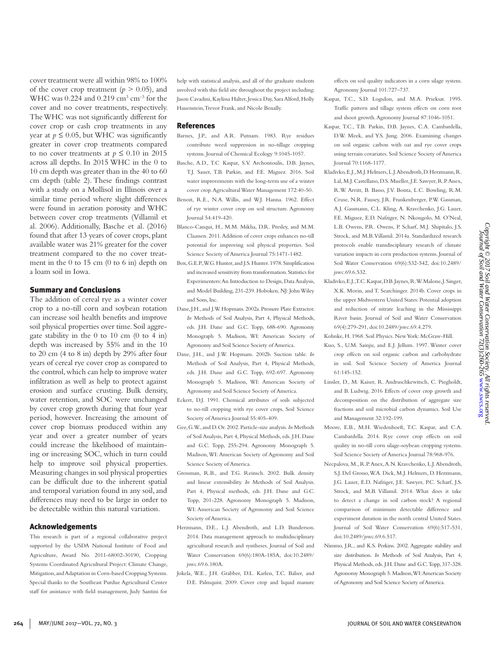cover treatment were all within 98% to 100% of the cover crop treatment  $(p > 0.05)$ , and WHC was  $0.224$  and  $0.219$  cm<sup>3</sup> cm<sup>-3</sup> for the cover and no cover treatments, respectively. The WHC was not significantly different for cover crop or cash crop treatments in any year at  $p \leq 0.05$ , but WHC was significantly greater in cover crop treatments compared to no cover treatments at  $p \leq 0.10$  in 2015 across all depths. In 2015 WHC in the 0 to 10 cm depth was greater than in the 40 to 60 cm depth (table 2). These findings contrast with a study on a Mollisol in Illinois over a similar time period where slight differences were found in aeration porosity and WHC between cover crop treatments (Villamil et al. 2006). Additionally, Basche et al. (2016) found that after 13 years of cover crops, plant available water was 21% greater for the cover treatment compared to the no cover treatment in the 0 to 15 cm (0 to 6 in) depth on a loam soil in Iowa.

# Summary and Conclusions

The addition of cereal rye as a winter cover crop to a no-till corn and soybean rotation can increase soil health benefits and improve soil physical properties over time. Soil aggregate stability in the 0 to 10 cm (0 to 4 in) depth was increased by 55% and in the 10 to 20 cm (4 to 8 in) depth by 29% after four years of cereal rye cover crop as compared to the control, which can help to improve water infiltration as well as help to protect against erosion and surface crusting. Bulk density, water retention, and SOC were unchanged by cover crop growth during that four year period, however. Increasing the amount of cover crop biomass produced within any year and over a greater number of years could increase the likelihood of maintaining or increasing SOC, which in turn could help to improve soil physical properties. Measuring changes in soil physical properties can be difficult due to the inherent spatial and temporal variation found in any soil, and differences may need to be large in order to be detectable within this natural variation.

### Acknowledgements

This research is part of a regional collaborative project supported by the USDA National Institute of Food and Agriculture, Award No. 2011-68002-30190, Cropping Systems Coordinated Agricultural Project: Climate Change, Mitigation, and Adaptation in Corn-based Cropping Systems. Special thanks to the Southeast Purdue Agricultural Center staff for assistance with field management, Judy Santini for

help with statistical analysis, and all of the graduate students involved with this field site throughout the project including: Jason Cavadini, Kaylissa Halter, Jessica Day, Sara Alford, Holly Hauenstein, Trevor Frank, and Nicole Benally.

#### References

- Barnes, J.P., and A.R. Putnam. 1983. Rye residues contribute weed suppression in no-tillage cropping systems. Journal of Chemical Ecology 9:1045-1057.
- Basche, A.D., T.C Kaspar, S.V. Archontoulis, D.B. Jaynes, T.J. Sauer, T.B. Parkin, and F.E. Miguez. 2016. Soil water improvements with the long-term use of a winter cover crop. Agricultural Water Management 172:40-50.
- Benoit, R.E., N.A. Willis, and W.J. Hanna. 1962. Effect of rye winter cover crop on soil structure. Agronomy Journal 54:419-420.
- Blanco-Canqui, H., M.M. Mikha, D.R. Presley, and M.M. Claassen. 2011. Addition of cover crops enhances no-till potential for improving soil physical properties. Soil Science Society of America Journal 75:1471-1482.
- Box, G.E.P., W.G. Hunter, and J.S. Hunter. 1978. Simplification and increased sensitivity from transformation. Statistics for Experimenters: An Introduction to Design, Data Analysis, and Model Building, 231-239. Hoboken, NJ: John Wiley and Sons, Inc.
- Dane, J.H., and J.W. Hopmans. 2002a. Pressure Plate Extractor. *In* Methods of Soil Analysis, Part 4, Physical Methods, eds. J.H. Dane and G.C. Topp, 688-690. Agronomy Monograph 5. Madison, WI: American Society of Agronomy and Soil Science Society of America.
- Dane, J.H., and J.W. Hopmans. 2002b. Suction table. *In*  Methods of Soil Analysis, Part 4, Physical Methods, eds. J.H. Dane and G.C. Topp, 692-697. Agronomy Monograph 5. Madison, WI: American Society of Agronomy and Soil Science Society of America.
- Eckert, D.J. 1991. Chemical attributes of soils subjected to no-till cropping with rye cover crops. Soil Science Society of America Journal 55:405-409.
- Gee, G.W., and D. Or. 2002. Particle-size analysis. *In* Methods of Soil Analysis, Part 4, Physical Methods, eds. J.H. Dane and G.C. Topp, 255-294. Agronomy Monograph 5. Madison, WI: American Society of Agronomy and Soil Science Society of America.
- Grossman, R.B., and T.G. Reinsch. 2002. Bulk density and linear extensibility. *In* Methods of Soil Analysis. Part 4, Physical methods, eds. J.H. Dane and G.C. Topp, 201-228. Agronomy Monograph 5. Madison, WI: American Society of Agronomy and Soil Science Society of America.
- Herzmann, D.E., L.J. Abendroth, and L.D. Bunderson. 2014. Data management approach to multidisciplinary agricultural research and syntheses. Journal of Soil and Water Conservation 69(6):180A-185A, doi:10.2489/ jswc.69.6.180A.
- Jokela, W.E., J.H. Grabber, D.L. Karlen, T.C. Balser, and D.E. Palmquist. 2009. Cover crop and liquid manure

effects on soil quality indicators in a corn silage system. Agronomy Journal 101:727–737.

- Kaspar, T.C., S.D. Logsdon, and M.A. Prieksat. 1995. Traffic pattern and tillage system effects on corn root and shoot growth. Agronomy Journal 87:1046-1051.
- Kaspar, T.C., T.B. Parkin, D.B. Jaynes, C.A. Cambardella, D.W. Meek, and Y.S. Jung. 2006. Examining changes on soil organic carbon with oat and rye cover crops using terrain covariates. Soil Science Society of America Journal 70:1168-1177.
- Kladivko, E.J., M.J. Helmers, L.J. Abendroth, D. Herzmann, R. Lal, M.J. Castellano, D.S. Mueller, J.E. Sawyer, R.P. Anex, R.W. Arritt, B. Basso, J.V. Bonta, L.C. Bowling, R.M. Cruse, N.R. Fausey, J.R. Frankenberger, P.W. Gassman, A.J. Gassmann, C.L. Kling, A. Kravchenko, J.G. Lauer, F.E. Miguez, E.D. Nafziger, N. Nkongolo, M. O'Neal, L.B. Owens, P.R. Owens, P. Scharf, M.J. Shipitalo, J.S. Strock, and M.B. Villamil. 2014a. Standardized research protocols enable transdisciplinary research of climate variation impacts in corn production systems. Journal of Soil Water Conservation 69(6):532-542, doi:10.2489/ jswc.69.6.532.
- Kladivko, E.J., T.C. Kaspar, D.B. Jaynes, R.W. Malone, J. Singer, X.K. Morin, and T. Searchinger. 2014b. Cover crops in the upper Midwestern United States: Potential adoption and reduction of nitrate leaching in the Mississippi River basin. Journal of Soil and Water Conservation 69(4):279-291, doi:10.2489/jswc.69.4.279.
- Kohnke, H. 1968. Soil Physics. New York: McGraw-Hill.
- Kuo, S., U.M. Sainju, and E.J. Jellum. 1997. Winter cover crop effects on soil organic carbon and carbohydrate in soil. Soil Science Society of America Journal  $61.145 - 152$
- Linsler, D., M. Kaiser, R. Andruschkewitsch, C. Piegholdt, and B. Ludwig. 2016 Effects of cover crop growth and decomposition on the distribution of aggregate size fractions and soil microbial carbon dynamics. Soil Use and Management 32:192-199.
- Moore, E.B., M.H. Wiedenhoeft, T.C. Kaspar, and C.A. Cambardella. 2014. Rye cover crop effects on soil quality in no-till corn silage-soybean cropping systems. Soil Science Society of America Journal 78:968-976.
- Necpalova, M., R.P. Anex, A.N. Kravchenko, L.J. Abendroth, S.J. Del Grosso, W.A. Dick, M.J. Helmers, D. Herzmann, J.G. Lauer, E.D. Nafziger, J.E. Sawyer, P.C. Scharf, J.S. Strock, and M.B. Villamil. 2014. What does it take to detect a change in soil carbon stock? A regional comparison of minimum detectable difference and experiment duration in the north central United States. Journal of Soil Water Conservation 69(6):517-531, doi:10.2489/jswc.69.6.517.
- Nimmo, J.R., and K.S. Perkins. 2002. Aggregate stability and size distribution. *In* Methods of Soil Analysis, Part 4, Physical Methods, eds. J.H. Dane and G.C. Topp, 317-328. Agronomy Monograph 5. Madison, WI: American Society of Agronomy and Soil Science Society of America.